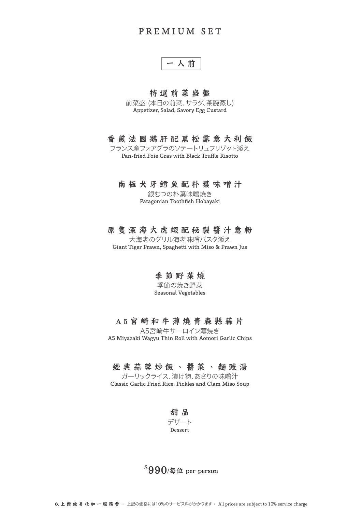# PREMIUM SET

一人前

## 特選前菜盛盤

前菜盛 (本日の前菜、サラダ、茶腕蒸し) Appetizer, Salad, Savory Egg Custard

## 香煎法國鵝肝配黑松露意大利飯

フランス産フォアグラのソテートリュフリゾット添え Pan-fried Foie Gras with Black Truffle Risotto

### 南極犬牙鱈魚配朴葉味噌汁

銀むつの朴葉味噌焼き Patagonian Toothfish Hobayaki

### 原隻深海大虎蝦配秘製醬汁意粉

大海老のグリル海老味噌パスタ添え Giant Tiger Prawn, Spaghetti with Miso & Prawn Jus

## 季節野菜燒

季節の焼き野菜 Seasonal Vegetables

### A5宮崎和牛薄燒青森縣蒜片

A5宮崎牛サーロイン薄焼き A5 Miyazaki Wagyu Thin Roll with Aomori Garlic Chips

# 經典蒜蓉炒飯、醬菜、麵豉湯

ガーリックライス、漬け物、あさりの味噌汁 Classic Garlic Fried Rice, Pickles and Clam Miso Soup

> 甜 品 デザート Dessert

# $$990$ /每位 per person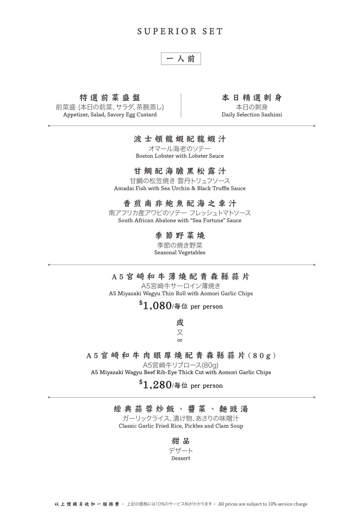# SUPERIOR SET

# 一人前

#### 特選前菜盛盤

前菜盛 (本日の前菜、サラダ、茶腕蒸し) Appetizer, Salad, Savory Egg Custard

### 本日精選刺身

本日の刺身 Daily Selection Sashimi

### 波士頓龍蝦配龍蝦汁

オマール海老のソテー Boston Lobster with Lobster Sauce

# 甘鯛配海膽黑松露汁

甘鯛の松笠焼き 雲丹トリュフソース Amadai Fish with Sea Urchin & Black Truffle Sauce

## 香煎南非鮑魚配海之幸汁

南アフリカ産アワビのソテー フレッシュトマトソース South African Abalone with "Sea Fortune" Sauce

# 季節野菜燒

季節の焼き野菜 Seasonal Vegetables

### A5宮崎和牛薄燒配青森縣蒜片

A5宮崎牛サーロイン薄焼き A5 Miyazaki Wagyu Thin Roll with Aomori Garlic Chips

# $$1,080$ /每位 per person

或 又 or

# A5宮崎和牛肉眼厚燒配青森縣蒜片(80g)

A5宮崎牛リブロース(80g)

A5 Miyazaki Wagyu Beef Rib-Eye Thick Cut with Aomori Garlic Chips

# $^{\$}1,280$ /每位 per person

## 經典蒜蓉炒飯、醬菜、麵豉湯

ガーリックライス、漬け物、あさりの味噌汁 Classic Garlic Fried Rice, Pickles and Clam Soup

> 甜 品 デザート Dessert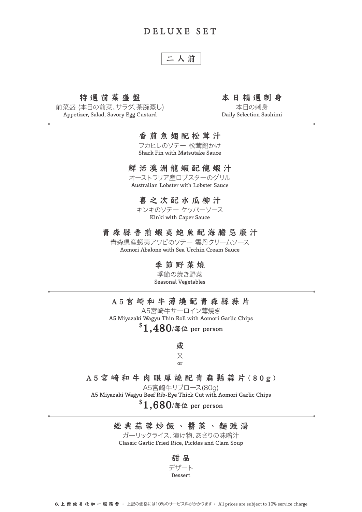# DELUXE SET

# 二人前

### 特選前菜盛盤

前菜盛 (本日の前菜、サラダ、茶腕蒸し) Appetizer, Salad, Savory Egg Custard

### 本日精選刺身

本日の刺身 Daily Selection Sashimi

## 香煎魚翅配松茸汁

フカヒレのソテー 松茸餡かけ Shark Fin with Matsutake Sauce

### 鮮活澳洲龍蝦配龍蝦汁

オーストラリア産ロブスターのグリル Australian Lobster with Lobster Sauce

## 喜之次配水瓜柳汁

キンキのソテー ケッパーソース Kinki with Caper Sauce

#### 青森縣香煎蝦夷鮑魚配海膽忌廉汁

青森県産蝦夷アワビのソテー 雲丹クリームソース Aomori Abalone with Sea Urchin Cream Sauce

# 季節野菜燒

季節の焼き野菜 Seasonal Vegetables

## A5宮崎和牛薄燒配青森縣蒜片

A5宮崎牛サーロイン薄焼き A5 Miyazaki Wagyu Thin Roll with Aomori Garlic Chips  $$1,480$ /每位 per person

> 或 又 or

# A5宮崎和牛肉眼厚燒配青森縣蒜片(80g)

A5宮崎牛リブロース(80g)

A5 Miyazaki Wagyu Beef Rib-Eye Thick Cut with Aomori Garlic Chips

# $$1,680$ /每位 per person

## 經典蒜蓉炒飯、醬菜、麵豉湯

ガーリックライス、漬け物、あさりの味噌汁 Classic Garlic Fried Rice, Pickles and Clam Soup

#### 甜 品

#### デザート

Dessert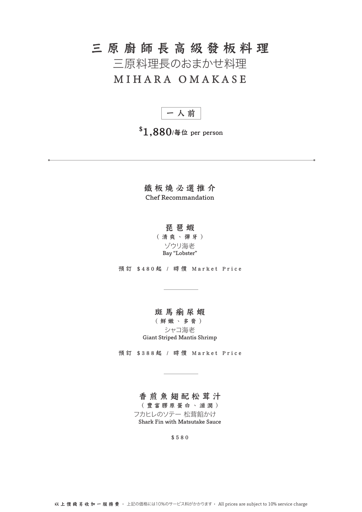# 三原廚師長高級發板料理

三原料理長のおまかせ料理

# MIHARA OMAKASE

一人前

 $$1,880$ /每位 per person

鐵板燒必選推介 Chef Recommandation

# 琵琶蝦

(清爽、彈牙) ゾウリ海老 Bay "Lobster"

預訂 \$480起 / 時價 Market Price

### 斑馬瘌尿蝦

(鮮嫩、多膏) シャコ海老 Giant Striped Mantis Shrimp

預訂 \$388起 / 時價 Market Price

# 香煎魚翅配松茸汁

(豐富膠原蛋白、滋潤)

フカヒレのソテー 松茸餡かけ Shark Fin with Matsutake Sauce

\$580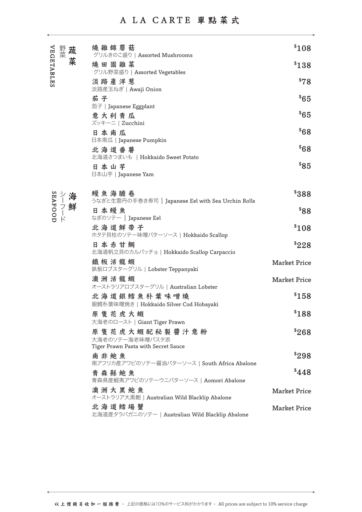# A LA CARTE 單點菜式

|            | 野菜               | 蔬 | 燒 雜 錦 蘑 菇<br>グリルきのこ盛り   Assorted Mushrooms                 | \$108               |
|------------|------------------|---|------------------------------------------------------------|---------------------|
| VEGETABLES |                  | 菜 | 燒田園雜菜                                                      | \$138               |
|            |                  |   | グリル野菜盛り   Assorted Vegetables<br>淡路產洋葱                     | \$78                |
|            |                  |   | 淡路産玉ねぎ   Awaji Onion                                       |                     |
|            |                  |   | 茄子                                                         | \$65                |
|            |                  |   | 茄子   Japanese Eggplant<br>意大利青瓜                            | \$65                |
|            |                  |   | ズッキーニ   Zucchini                                           |                     |
|            |                  |   | 日本南瓜                                                       | $88^*$              |
|            |                  |   | 日本南瓜   Japanese Pumpkin<br>北海道番薯                           | 868                 |
|            |                  |   | 北海道さつまいも   Hokkaido Sweet Potato                           |                     |
|            |                  |   | 日本山芋                                                       | \$85                |
|            |                  |   | 日本山芋   Japanese Yam                                        |                     |
|            |                  |   | 鰻魚海膽卷                                                      | \$388               |
|            | SEAFOOD<br>シーフード |   | うなぎと生雲丹の手巻き寿司   Japanese Eel with Sea Urchin Rolls         |                     |
|            |                  |   | 日本鰻魚<br>なぎのソテー   Japanese Eel                              | $88^*$              |
|            |                  |   | 北海道鮮帶子                                                     | \$108               |
|            |                  |   | ホタテ貝柱のソテー味噌バターソース   Hokkaido Scallop                       |                     |
|            |                  |   | 日本赤甘鯛<br>北海道帆立貝のカルパッチョ   Hokkaido Scallop Carpaccio        | \$228               |
|            |                  |   | 鐵板活龍蝦<br>鉄板ロブスターグリル   Lobster Teppanyaki                   | <b>Market Price</b> |
|            |                  |   | 澳 洲 活 龍 蝦                                                  | <b>Market Price</b> |
|            |                  |   | オーストラリアロブスターグリル   Australian Lobster                       |                     |
|            |                  |   | 北海道銀鱈魚朴葉味噌燒<br>銀鱈朴葉味噌焼き   Hokkaido Silver Cod Hobayaki     | \$158               |
|            |                  |   | 原隻花虎大蝦                                                     | \$188               |
|            |                  |   | 大海老のロースト   Giant Tiger Prawn                               |                     |
|            |                  |   | 原 隻 花 虎 大 蝦 配 秘 製 醬 汁 意 粉<br>大海老のソテー海老味噌パスタ添               | \$268               |
|            |                  |   | Tiger Prawn Pasta with Secret Sauce<br>南非鮑魚                | \$298               |
|            |                  |   | 南アフリカ産アワビのソテー醤油バターソース   South Africa Abalone               |                     |
|            |                  |   | 青森縣鮑魚<br>青森県産蝦夷アワビのソテーウニバターソース   Aomori Abalone            | \$448               |
|            |                  |   | 澳洲大黑鮑魚<br>オーストラリア大黒鮑   Australian Wild Blacklip Abalone    | <b>Market Price</b> |
|            |                  |   | 北海道鱈場蟹<br>北海道産タラバガニのソテー   Australian Wild Blacklip Abalone | <b>Market Price</b> |